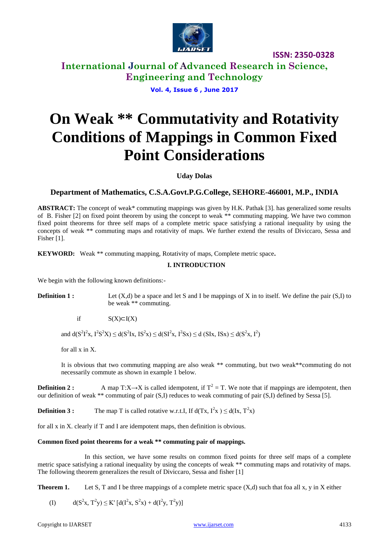

**International Journal of Advanced Research in Science, Engineering and Technology**

**Vol. 4, Issue 6 , June 2017**

# **On Weak \*\* Commutativity and Rotativity Conditions of Mappings in Common Fixed Point Considerations**

**Uday Dolas** 

### **Department of Mathematics, C.S.A.Govt.P.G.College, SEHORE-466001, M.P., INDIA**

**ABSTRACT:** The concept of weak\* commuting mappings was given by H.K. Pathak [3]. has generalized some results of B. Fisher [2] on fixed point theorem by using the concept to weak \*\* commuting mapping. We have two common fixed point theorems for three self maps of a complete metric space satisfying a rational inequality by using the concepts of weak \*\* commuting maps and rotativity of maps. We further extend the results of Diviccaro, Sessa and Fisher [1].

**KEYWORD:** Weak \*\* commuting mapping, Rotativity of maps, Complete metric space**.**

### **I. INTRODUCTION**

We begin with the following known definitions:-

**Definition 1 :** Let (X,d) be a space and let S and I be mappings of X in to itself. We define the pair (S,I) to be weak \*\* commuting.

if  $S(X) \subset I(X)$ 

and  $d(S^2I^2x, I^2S^2X) \leq d(S^2Ix, IS^2x) \leq d(SI^2x, I^2Sx) \leq d(SIx, ISx) \leq d(S^2x, I^2)$ 

for all x in X.

It is obvious that two commuting mapping are also weak \*\* commuting, but two weak\*\*commuting do not necessarily commute as shown in example 1 below.

**Definition 2 :** A map  $T:X\rightarrow X$  is called idempotent, if  $T^2 = T$ . We note that if mappings are idempotent, then our definition of weak \*\* commuting of pair (S,I) reduces to weak commuting of pair (S,I) defined by Sessa [5].

**Definition 3 :** The map T is called rotative w.r.t.I, If  $d(Tx, I^2x) \leq d(Ix, T^2x)$ 

for all x in X. clearly if T and I are idempotent maps, then definition is obvious.

### **Common fixed point theorems for a weak \*\* commuting pair of mappings.**

In this section, we have some results on common fixed points for three self maps of a complete metric space satisfying a rational inequality by using the concepts of weak \*\* commuting maps and rotativity of maps. The following theorem generalizes the result of Diviccaro, Sessa and fisher [1]

**Theorem 1.** Let S, T and I be three mappings of a complete metric space  $(X,d)$  such that foa all x, y in X either

(I)  $d(S^2x, T^2y) \le K' [d(I^2x, S^2x) + d(I^2y, T^2y)]$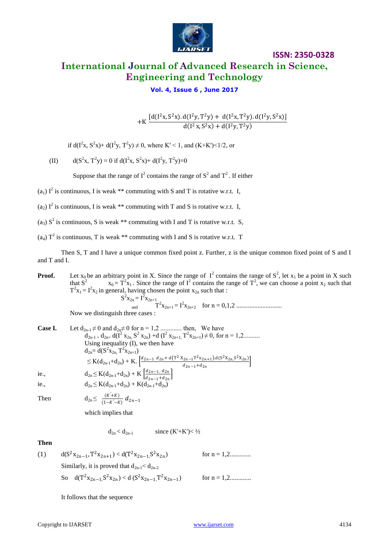

# **ISSN: 2350-0328 International Journal of Advanced Research in Science, Engineering and Technology**

### **Vol. 4, Issue 6 , June 2017**

+K  $\frac{[d(I^{2}x, S^{2}x). d(I^{2}y, T^{2}y) + d(I^{2}x, T^{2}y). d(I^{2}y, S^{2}x)]}{d(I^{2}x, S^{2}y) + d(I^{2}z, T^{2}y)}$  $d(I^2x, S^2x) + d(I^2y, T^2y)$ 

if  $d(I^2x, S^2x) + d(I^2y, T^2y) \neq 0$ , where K' < 1, and (K+K') < 1/2, or

(II)  $d(S^2x, T^2y) = 0$  if  $d(T^2x, S^2x) + d(T^2y, T^2y) = 0$ 

Suppose that the range of  $I^2$  contains the range of  $S^2$  and  $T^2$ . If either

- $(a_1)$  I<sup>2</sup> is continuous, I is weak \*\* commuting with S and T is rotative w.r.t. I,
- $(a_2)$  I<sup>2</sup> is continuous, I is weak \*\* commuting with T and S is rotative w.r.t. I,
- $(a_3)$  S<sup>2</sup> is continuous, S is weak \*\* commuting with I and T is rotative w.r.t. S,
- $(a_4)$  T<sup>2</sup> is continuous, T is weak \*\* commuting with I and S is rotative w.r.t. T

Then S, T and I have a unique common fixed point z. Further, z is the unique common fixed point of S and I and T and I.

**Proof.** Let  $x_0$  be an arbitrary point in X. Since the range of  $I^2$  contains the range of  $S^2$ , let  $x_1$  be a point in X such that  $S^2$   $x_0 = T^2x_1$ . Since the range of  $T^2$  contains the range of  $T^2$ , we can choose a point  $x_2$  such that  $T^{2}x_{1} = I^{2}x_{2}$  in general, having chosen the point  $x_{2n}$  such that :  $S^2x_{2n} = I^2x_{2n+1}$ 

and 
$$
T^2 x_{2n+1} = I^2 x_{2n+2}
$$
 for  $n = 0,1,2$ .................

Now we distinguish three cases :

Case I. Let 
$$
d_{2n-1} \neq 0
$$
 and  $d_{2n} \neq 0$  for  $n = 1, 2$  ......... then, We have  
\n
$$
d_{2n-1} + d_{2n} = d(I^2 x_{2n}, S^2 x_{2n}) + d(I^2 x_{2n+1}, T^2 x_{2n+1}) \neq 0
$$
, for  $n = 1, 2$  .........  
\nUsing inequality (I), we then have  
\n
$$
d_{2n} = d(S^2 x_{2n}, T^2 x_{2n+1})
$$
\n
$$
\leq K(d_{2n-1} + d_{2n}) + K \cdot \left[ \frac{d_{2n-1} d_{2n} + d(T^2 x_{2n-1} T^2 x_{2n+1}) \cdot d(T^2 x_{2n-1} S^2 x_{2n})}{d_{2n-1} + d_{2n}} \right]
$$
\ni.e.,  
\n
$$
d_{2n} \leq K(d_{2n-1} + d_{2n}) + K \left[ \frac{d_{2n-1} d_{2n}}{d_{2n-1} + d_{2n}} \right]
$$
\ni.e.,  
\n
$$
d_{2n} \leq K(d_{2n-1} + d_{2n}) + K(d_{2n-1} + d_{2n})
$$

Then

$$
{\rm d}_{2n} {\leq} \ \ \frac{(K^{'} + K)}{(1 - K^{'} - K)} \ d_{2n - 1}
$$

which implies that

 $d_{2n} < d_{2n-1}$  since  $(K+K') < \frac{1}{2}$ 

#### **Then**

(1)  $d(S^2x_{2n-1}, T^2x_{2n+1}) < d(T^2x_{2n-1}, S^2x_{2n})$ for  $n = 1, 2, \dots, n$ Similarly, it is proved that  $d_{2n-1} < d_{2n-2}$ So  $d(T^2x_{2n-1}, S^2x_{2n}) < d(S^2x_{2n-1}, T^2x_{2n-1})$ for  $n = 1, 2, \dots, n$ 

It follows that the sequence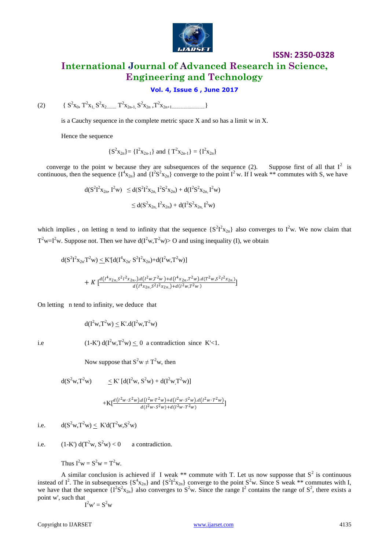

# **ISSN: 2350-0328 International Journal of Advanced Research in Science, Engineering and Technology**

### **Vol. 4, Issue 6 , June 2017**

(2)  $\{S^2x_0, T^2x_1, S^2x_2, \ldots, T^2x_{2n-1}, S^2x_{2n}, T^2x_{2n+1, \ldots, \ldots, T^2x_{2n+1}}\}$ 

is a Cauchy sequence in the complete metric space X and so has a limit w in X.

Hence the sequence

$$
\{S^2x_{2n}\} = \{I^2x_{2n-1}\}\text{ and }\{T^2x_{2n-1}\} = \{I^2x_{2n}\}\
$$

converge to the point w because they are subsequences of the sequence (2). Suppose first of all that  $I^2$  is continuous, then the sequence  $\{I^4x_{2n}\}$  and  $\{I^2S^2x_{2n}\}$  converge to the point  $I^2$  w. If I weak \*\* commutes with S, we have

$$
\begin{array}{ll} d(S^2 I^2 x_{2n},I^2 w) & \leq d(S^2 I^2 x_{2n},I^2 S^2 x_{2n}) + d(I^2 S^2 x_{2n},I^2 w) \\ \\ & \leq d(S^2 x_{2n},I^2 x_{2n}) + d(I^2 S^2 x_{2n},I^2 w) \end{array}
$$

which implies, on letting n tend to infinity that the sequence  $\{S^2I^2x_{2n}\}\$ also converges to  $I^2w$ . We now claim that  $T^2 w = I^2 w$ . Suppose not. Then we have  $d(I^2 w, T^2 w) > 0$  and using inequality (I), we obtain

$$
d(S^{2}I^{2}x_{2n}T^{2}w) \leq K'[d(I^{4}x_{2n} \cdot S^{2}I^{2}x_{2n}) + d(I^{2}w, T^{2}w)]
$$
  
+ 
$$
K\left[\frac{d(I^{4}x_{2n} \cdot S^{2}I^{2}x_{2n}) \cdot d(I^{2}w, T^{2}w) + d(I^{4}x_{2n} \cdot T^{2}w) \cdot d(T^{2}w, S^{2}I^{2}x_{2n})}{d(I^{4}x_{2n} \cdot S^{2}I^{2}x_{2n}) + d(I^{2}w, T^{2}w)}\right]
$$

On letting n tend to infinity, we deduce that

$$
d(I^2w,T^2w) \leq K'.d(I^2w,T^2w)
$$

i.e (1-K')  $d(I^2w, T^2w) \leq 0$  a contradiction since K'<1.

Now suppose that  $S^2w \neq T^2w$ , then

$$
d(S^2w,T^2w)
$$
  $\leq K' [d(I^2w, S^2w) + d(I^2w,T^2w)]$ 

$$
+ \text{K} [\frac{d \left(l^2 w \cdot S^2 w\right) . d \left(l^2 w \cdot T^2 w\right) + d \left(l^2 w \cdot S^2 w\right) . d \left(l^2 w \cdot T^2 w\right)}{d \left(l^2 w \cdot S^2 w\right) + d \left(l^2 w \cdot T^2 w\right)}]
$$

i.e.  $d(S^2w,T^2w) < K'd(T^2w,S^2w)$ 

i.e.  $(1-K') d(T^2w, S^2w) < 0$  a contradiction.

Thus 
$$
I^2w = S^2w = T^2w
$$
.

A similar conclusion is achieved if I weak \*\* commute with T. Let us now supposse that  $S^2$  is continuous instead of  $I^2$ . The in subsequences  $\{S^4x_{2n}\}\$  and  $\{S^2I^2x_{2n}\}\$ converge to the point  $S^2w$ . Since S weak \*\* commutes with I, we have that the sequence  $\{I^2S^2x_{2n}\}\$ also converges to  $S^2w$ . Since the range  $I^2$  contains the range of  $S^2$ , there exists a point w', such that

$$
I^2w'=S^2w
$$

Copyright to IJARSET and the control of the control [www.ijarset.com](http://www.ijarset.com/) 4135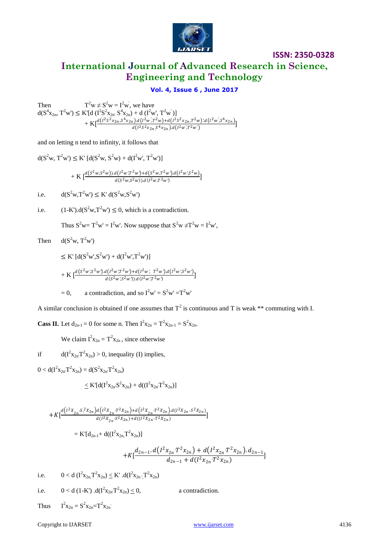

**International Journal of Advanced Research in Science, Engineering and Technology**

### **Vol. 4, Issue 6 , June 2017**

Then T  $2^2w \neq S^2w = I^2w$ , we have  $d(S^4x_{2n}, T^2w') \leq K' [d (I^2S^2x_{2n}, S^4x_{2n}) + d (I^2w', T^2w')]$  $+ K \left[ \frac{d(I^2 S^2 x_{2n}, S^4 x_{2n}) d(I^2 w', T^2 w) + d(I^2 S^2 x_{2n}, T^2 w)' d(I^2 w', S^4 x_{2n})}{J(I^2 S^2 w, G^4 w, J^2 (I^2 w', T^2 w')} \right]$  $\frac{d}{d}\left(\frac{1^2S^2x_{2n}S^4x_{2n}}{I^2}\right) \cdot d\left(\frac{1^2W}{I^2} \cdot \frac{1}{I^2} \cdot \frac{1}{I^2} \cdot \frac{1}{I^2} \cdot \frac{1}{I^2} \cdot \frac{1}{I^2} \cdot \frac{1}{I^2} \cdot \frac{1}{I^2} \cdot \frac{1}{I^2} \cdot \frac{1}{I^2} \cdot \frac{1}{I^2} \cdot \frac{1}{I^2} \cdot \frac{1}{I^2} \cdot \frac{1}{I^2} \cdot \frac{1}{I^2} \cdot \frac{1}{I^2} \$ 

and on letting n tend to infinity, it follows that

$$
d(S^{2}w, T^{2}w') \leq K' [d(S^{2}w, S^{2}w) + d(I^{2}w', T^{2}w')] + K \left[ \frac{d(S^{2}w, S^{2}w)) \cdot d(I^{2}w', T^{2}w') + d(S^{2}w, T^{2}w') \cdot d(I^{2}w', S^{2}w)}{d(S^{2}w, S^{2}w)) \cdot d(I^{2}w, T^{2}w')} \right] \ni.e. \qquad d(S^{2}w, T^{2}w') \leq K' d(S^{2}w, S^{2}w')
$$

i.e.  $(1-K') \cdot d(S^2 w, T^2 w') \leq 0$ , which is a contradiction.

Thus  $S^2w = T^2w' = I^2w'$ . Now suppose that  $S^2w \neq T^2w = I^2w'$ ,

Then  $d(S^2w, T^2w')$ 

$$
\leq K' \left[ d(S^2 w', S^2 w') + d(I^2 w', T^2 w') \right] + K \left[ \frac{d(S^2 w', S^2 w') \cdot d(I^2 w', T^2 w') + d(I^2 w', T^2 w') \cdot d(I^2 w', S^2 w')}{d(S^2 w', S^2 w')) \cdot d(I^2 w', T^2 w)} \right]
$$

= 0, a contradiction, and so 
$$
I^2w' = S^2w' = T^2w'
$$

A similar conclusion is obtained if one assumes that  $T^2$  is continuous and T is weak \*\* commuting with I.

**Cass II.** Let  $d_{2n-1} = 0$  for some n. Then  $I^{2}x_{2n} = T^{2}x_{2n-1} = S^{2}x_{2n}$ .

We claim  $I^2x_{2n} = T^2x_{2n}$ , since otherwise

if  $d(I^{2}x_{2n}T^{2}x_{2n}) > 0$ , inequality (I) implies,

 $0 < d(\mathbf{I}^2 \mathbf{x}_{2n'} \mathbf{T}^2 \mathbf{x}_{2n}) = d(\mathbf{S}^2 \mathbf{x}_{2n'} \mathbf{T}^2 \mathbf{x}_{2n})$ 

$$
\leq K'[d(I^2x_{2n}S^2x_{2n})+d((I^2x_{2n}T^2x_{2n})]
$$

$$
+K[\frac{d\left(l^2X_{2n}\cdot S^2X_{2n}\right)d\left(l^2X_{2n}\cdot T^2X_{2n}\right)+d\left(l^2X_{2n}\cdot T^2X_{2n}\right)d\left(l^2X_{2n}\cdot S^2X_{2n}\right)}{d\left(l^2X_{2n}\cdot S^2X_{2n}\right)+d\left((l^2X_{2n}\cdot T^2X_{2n}\right)}]
$$

$$
= K'[d_{2n-1} + d((I^2x_{2n}, T^2x_{2n})]
$$

$$
+K[\frac{d_{2n-1}.d(I^{2}x_{2n}T^{2}x_{2n})+d(I^{2}x_{2n}T^{2}x_{2n}).d_{2n-1}}{d_{2n-1}+d(I^{2}x_{2n}T^{2}x_{2n})}]
$$

i.e.  $0 < d \left( \frac{1}{2} x_{2n} \right) \leq K' \cdot d(\frac{1}{2} x_{2n} \cdot T^2 x_{2n})$ 

i.e.  $0 < d (1-K') .d(I^{2}x_{2n}T^{2})$ a contradiction.

**Thus**  $2x_{2n} = S^2x_{2n} = T^2x_{2n}$ 

Copyright to IJARSET and the control of the control of the [www.ijarset.com](http://www.ijarset.com/) 4136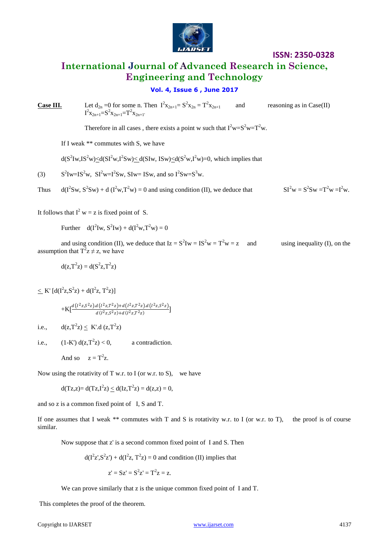

 $SI^{2}w = S^{2}Sw = T^{2}w = I^{2}w$ .

# **International Journal of Advanced Research in Science, Engineering and Technology**

### **Vol. 4, Issue 6 , June 2017**

**Case III.** Let  $d_{2n} = 0$  for some n. Then  $I^2x_{2n+1} = S^2x_{2n} = T^2$ and reasoning as in  $Case(II)$  $I^2x_{2n+1}=S^2x_{2n+1}=T^2x_{2n+1}$ 

Therefore in all cases, there exists a point w such that  $I^2w = S^2w = T^2w$ .

If I weak \*\* commutes with S, we have

 $d(S^2Iw, IS^2w) \le d(SI^2w, I^2Sw) \le d(SIw, ISw) \le d(S^2w, I^2w) = 0$ , which implies that

 $(3)$  ${}^{2}Iw=IS^{2}w$ ,  $SI^{2}w=I^{2}Sw$ ,  $SIw=ISw$ , and so  $I^{2}Sw=S^{3}w$ .

Thus Sw,  $S^2$ Sw) + d ( $I^2$ w, $T^2$ w) = 0 and using condition (II), we deduce that  $SI^2w = S^2$ 

It follows that  $I^2 w = z$  is fixed point of S.

Further  $d(I^2 I w, S^2 I w) + d(I^2 w, T^2 w) = 0$ 

and using condition (II), we deduce that  $Iz = S^2Iw = IS^2w = T^2w = z$ and  $using inequality (I)$ , on the assumption that  $T^2z \neq z$ , we have

 $d(z,T^2z) = d(S^2z,T^2z)$ 

 $\leq K'$  [d(I<sup>2</sup>z,S<sup>2</sup>z) + d(I<sup>2</sup>z, T<sup>2</sup>z)]

$$
+K[\frac{d(l^2z,S^2z).d(l^2z,T^2z)+d(l^2z,T^2z).d(l^2z,S^2z)}{d(l^2z,S^2z)+d(l^2z,T^2z)}]
$$

i.e.,  $d(z, T^2z) \le K' \cdot d(z, T^2z)$ 

i.e.,  $(1-K') d(z,T^2z) < 0$ , a contradiction.

And so  $z = T^2 z$ .

Now using the rotativity of T w.r. to I (or w.r. to S), we have

 $d(Tz, z) = d(Tz, I^2z) \le d(Iz, T^2z) = d(z, z) = 0,$ 

and so z is a common fixed point of I, S and T.

If one assumes that I weak \*\* commutes with T and S is rotativity w.r. to I (or w.r. to T), the proof is of course similar.

Now suppose that z' is a second common fixed point of I and S. Then

$$
d(I^2z^T, S^2z^T) + d(I^2z, T^2z) = 0
$$
 and condition (II) implies that

$$
z' = Sz' = S^2z' = T^2z = z.
$$

We can prove similarly that z is the unique common fixed point of I and T.

This completes the proof of the theorem.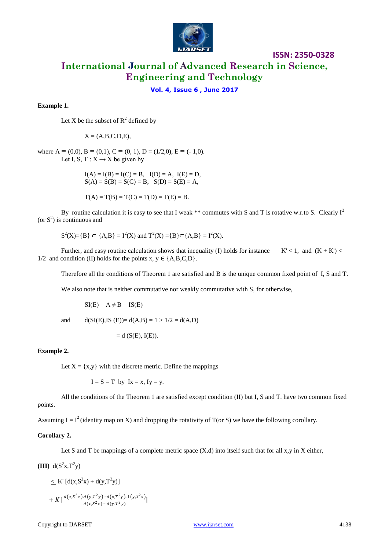

# **International Journal of Advanced Research in Science, Engineering and Technology**

### **Vol. 4, Issue 6 , June 2017**

#### **Example 1.**

Let X be the subset of  $R^2$  defined by

 $X = (A,B,C,D,E)$ ,

where  $A \equiv (0,0)$ ,  $B \equiv (0,1)$ ,  $C \equiv (0, 1)$ ,  $D = (1/2,0)$ ,  $E \equiv (-1,0)$ . Let I, S, T :  $X \rightarrow X$  be given by

> $I(A) = I(B) = I(C) = B$ ,  $I(D) = A$ ,  $I(E) = D$ ,  $S(A) = S(B) = S(C) = B$ ,  $S(D) = S(E) = A$ ,

 $T(A) = T(B) = T(C) = T(D) = T(E) = B.$ 

By routine calculation it is easy to see that I weak \*\* commutes with S and T is rotative w.r.to S. Clearly  $I^2$ (or  $S^2$ ) is continuous and

$$
S^2(X) = {B} \subset {A,B} = I^2(X)
$$
 and  $T^2(X) = {B} \subset {A,B} = I^2(X)$ .

Further, and easy routine calculation shows that inequality (I) holds for instance  $K' < 1$ , and  $(K + K')$ 1/2 and condition (II) holds for the points  $x, y \in \{A, B, C, D\}$ .

Therefore all the conditions of Theorem 1 are satisfied and B is the unique common fixed point of I, S and T.

We also note that is neither commutative nor weakly commutative with S, for otherwise,

 $SI(E) = A \neq B = IS(E)$ 

and  $d(SI(E), IS(E)) = d(A,B) = 1 > 1/2 = d(A,D)$ 

$$
= d(S(E), I(E)).
$$

#### **Example 2.**

Let  $X = \{x, y\}$  with the discrete metric. Define the mappings

 $I = S = T$  by  $Ix = x$ ,  $Iy = y$ .

All the conditions of the Theorem 1 are satisfied except condition (II) but I, S and T. have two common fixed points.

Assuming I =  $I^2$  (identity map on X) and dropping the rotativity of T(or S) we have the following corollary.

#### **Corollary 2.**

Let S and T be mappings of a complete metric space  $(X,d)$  into itself such that for all  $x,y$  in X either,

(III) 
$$
d(S^2x,T^2y)
$$

$$
\leq K' \left[ d(x, S^2x) + d(y, T^2y) \right] + K \left[ \frac{d(x, S^2x) d(y, T^2y) + d(x, T^2y) d(y, S^2x)}{d(x, S^2x) + d(y, T^2y)} \right]
$$